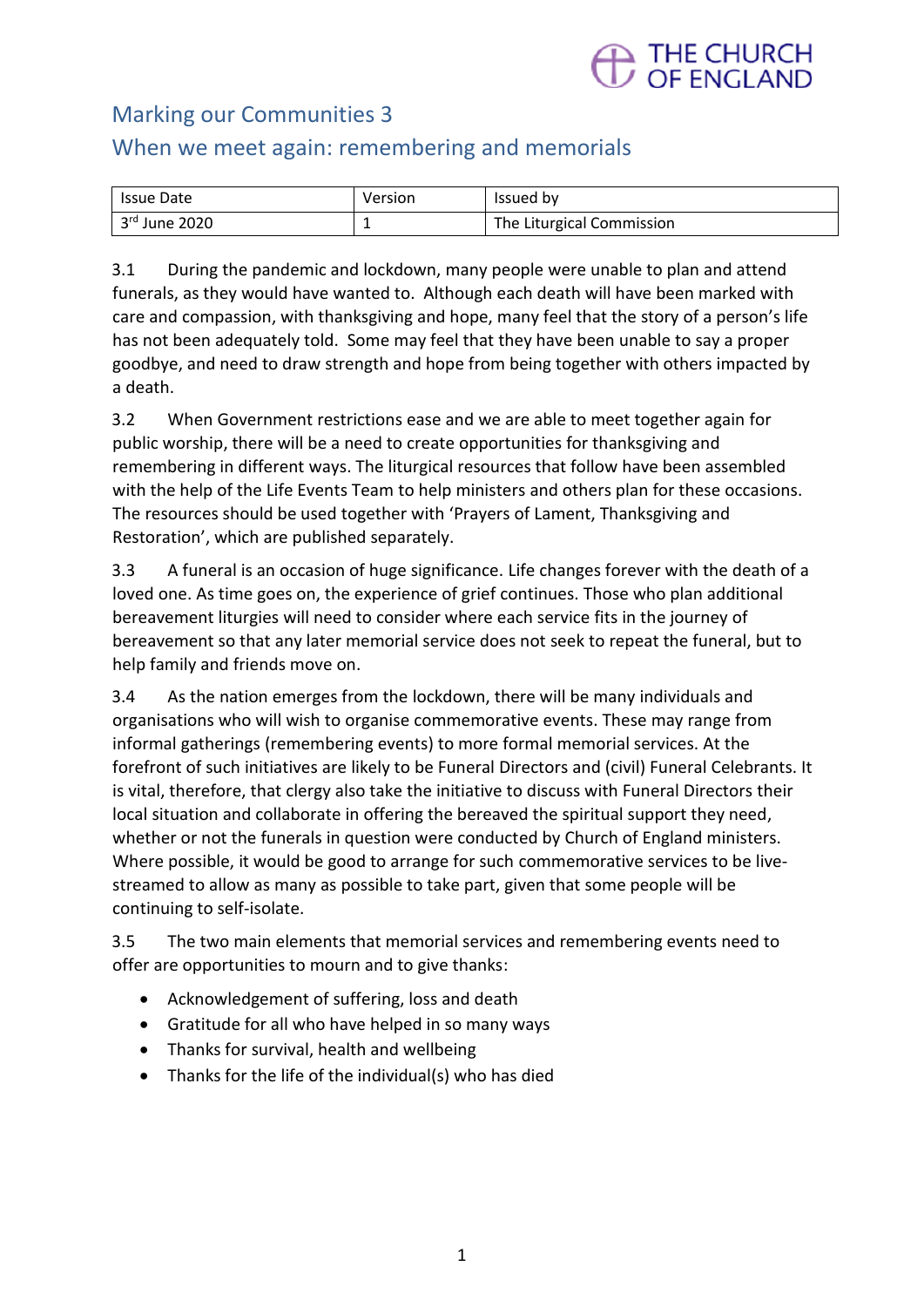

# Marking our Communities 3

# When we meet again: remembering and memorials

| Issue Date    | Version | Issued by                 |
|---------------|---------|---------------------------|
| 3rd June 2020 |         | The Liturgical Commission |

3.1 During the pandemic and lockdown, many people were unable to plan and attend funerals, as they would have wanted to. Although each death will have been marked with care and compassion, with thanksgiving and hope, many feel that the story of a person's life has not been adequately told. Some may feel that they have been unable to say a proper goodbye, and need to draw strength and hope from being together with others impacted by a death.

3.2 When Government restrictions ease and we are able to meet together again for public worship, there will be a need to create opportunities for thanksgiving and remembering in different ways. The liturgical resources that follow have been assembled with the help of the Life Events Team to help ministers and others plan for these occasions. The resources should be used together with 'Prayers of Lament, Thanksgiving and Restoration', which are published separately.

3.3 A funeral is an occasion of huge significance. Life changes forever with the death of a loved one. As time goes on, the experience of grief continues. Those who plan additional bereavement liturgies will need to consider where each service fits in the journey of bereavement so that any later memorial service does not seek to repeat the funeral, but to help family and friends move on.

3.4 As the nation emerges from the lockdown, there will be many individuals and organisations who will wish to organise commemorative events. These may range from informal gatherings (remembering events) to more formal memorial services. At the forefront of such initiatives are likely to be Funeral Directors and (civil) Funeral Celebrants. It is vital, therefore, that clergy also take the initiative to discuss with Funeral Directors their local situation and collaborate in offering the bereaved the spiritual support they need, whether or not the funerals in question were conducted by Church of England ministers. Where possible, it would be good to arrange for such commemorative services to be livestreamed to allow as many as possible to take part, given that some people will be continuing to self-isolate.

3.5 The two main elements that memorial services and remembering events need to offer are opportunities to mourn and to give thanks:

- Acknowledgement of suffering, loss and death
- Gratitude for all who have helped in so many ways
- Thanks for survival, health and wellbeing
- Thanks for the life of the individual(s) who has died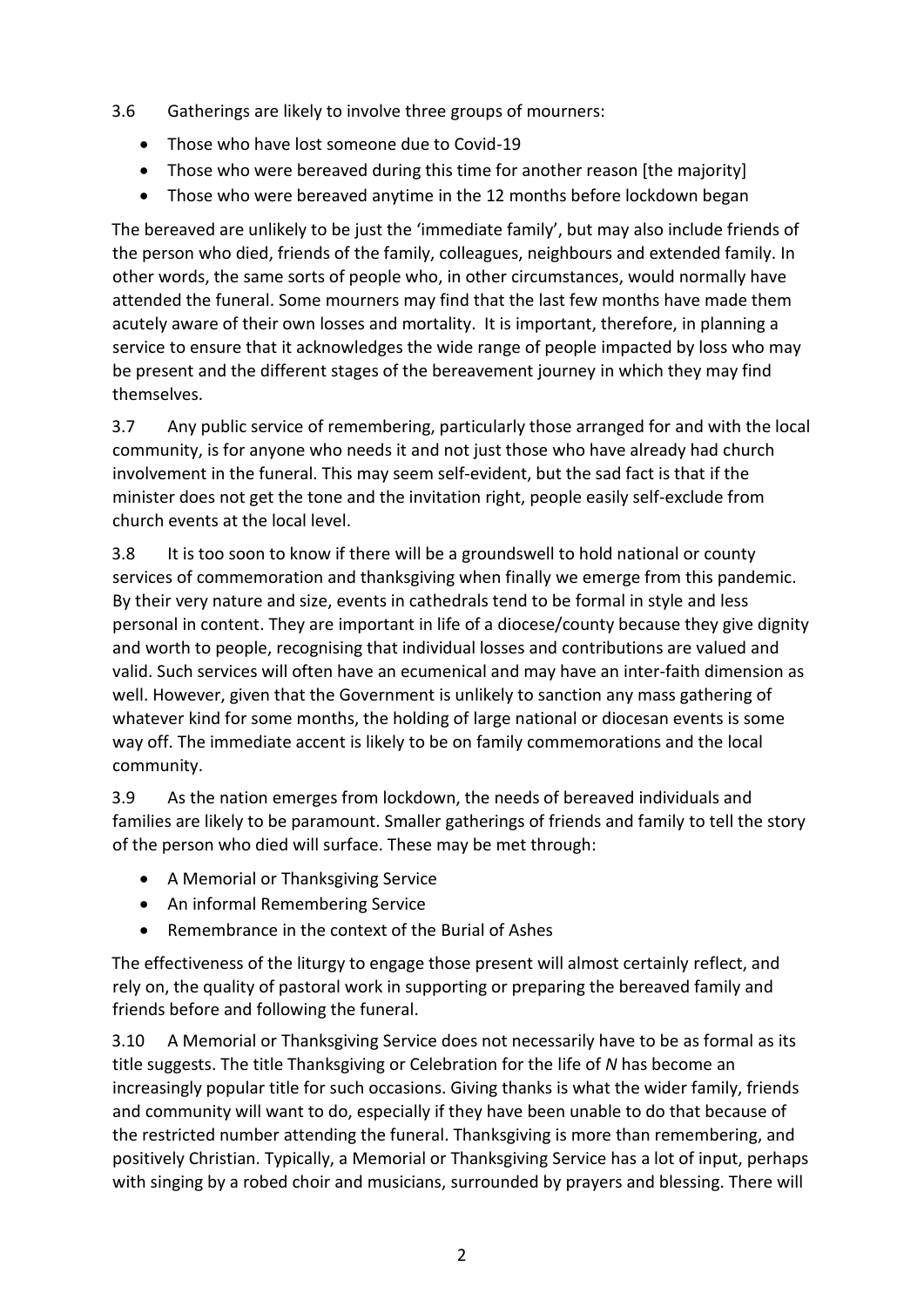- 3.6 Gatherings are likely to involve three groups of mourners:
	- Those who have lost someone due to Covid-19
	- Those who were bereaved during this time for another reason [the majority]
	- Those who were bereaved anytime in the 12 months before lockdown began

The bereaved are unlikely to be just the 'immediate family', but may also include friends of the person who died, friends of the family, colleagues, neighbours and extended family. In other words, the same sorts of people who, in other circumstances, would normally have attended the funeral. Some mourners may find that the last few months have made them acutely aware of their own losses and mortality. It is important, therefore, in planning a service to ensure that it acknowledges the wide range of people impacted by loss who may be present and the different stages of the bereavement journey in which they may find themselves.

3.7 Any public service of remembering, particularly those arranged for and with the local community, is for anyone who needs it and not just those who have already had church involvement in the funeral. This may seem self-evident, but the sad fact is that if the minister does not get the tone and the invitation right, people easily self-exclude from church events at the local level.

3.8 It is too soon to know if there will be a groundswell to hold national or county services of commemoration and thanksgiving when finally we emerge from this pandemic. By their very nature and size, events in cathedrals tend to be formal in style and less personal in content. They are important in life of a diocese/county because they give dignity and worth to people, recognising that individual losses and contributions are valued and valid. Such services will often have an ecumenical and may have an inter-faith dimension as well. However, given that the Government is unlikely to sanction any mass gathering of whatever kind for some months, the holding of large national or diocesan events is some way off. The immediate accent is likely to be on family commemorations and the local community.

3.9 As the nation emerges from lockdown, the needs of bereaved individuals and families are likely to be paramount. Smaller gatherings of friends and family to tell the story of the person who died will surface. These may be met through:

- A Memorial or Thanksgiving Service
- An informal Remembering Service
- Remembrance in the context of the Burial of Ashes

The effectiveness of the liturgy to engage those present will almost certainly reflect, and rely on, the quality of pastoral work in supporting or preparing the bereaved family and friends before and following the funeral.

3.10 A Memorial or Thanksgiving Service does not necessarily have to be as formal as its title suggests. The title Thanksgiving or Celebration for the life of *N* has become an increasingly popular title for such occasions. Giving thanks is what the wider family, friends and community will want to do, especially if they have been unable to do that because of the restricted number attending the funeral. Thanksgiving is more than remembering, and positively Christian. Typically, a Memorial or Thanksgiving Service has a lot of input, perhaps with singing by a robed choir and musicians, surrounded by prayers and blessing. There will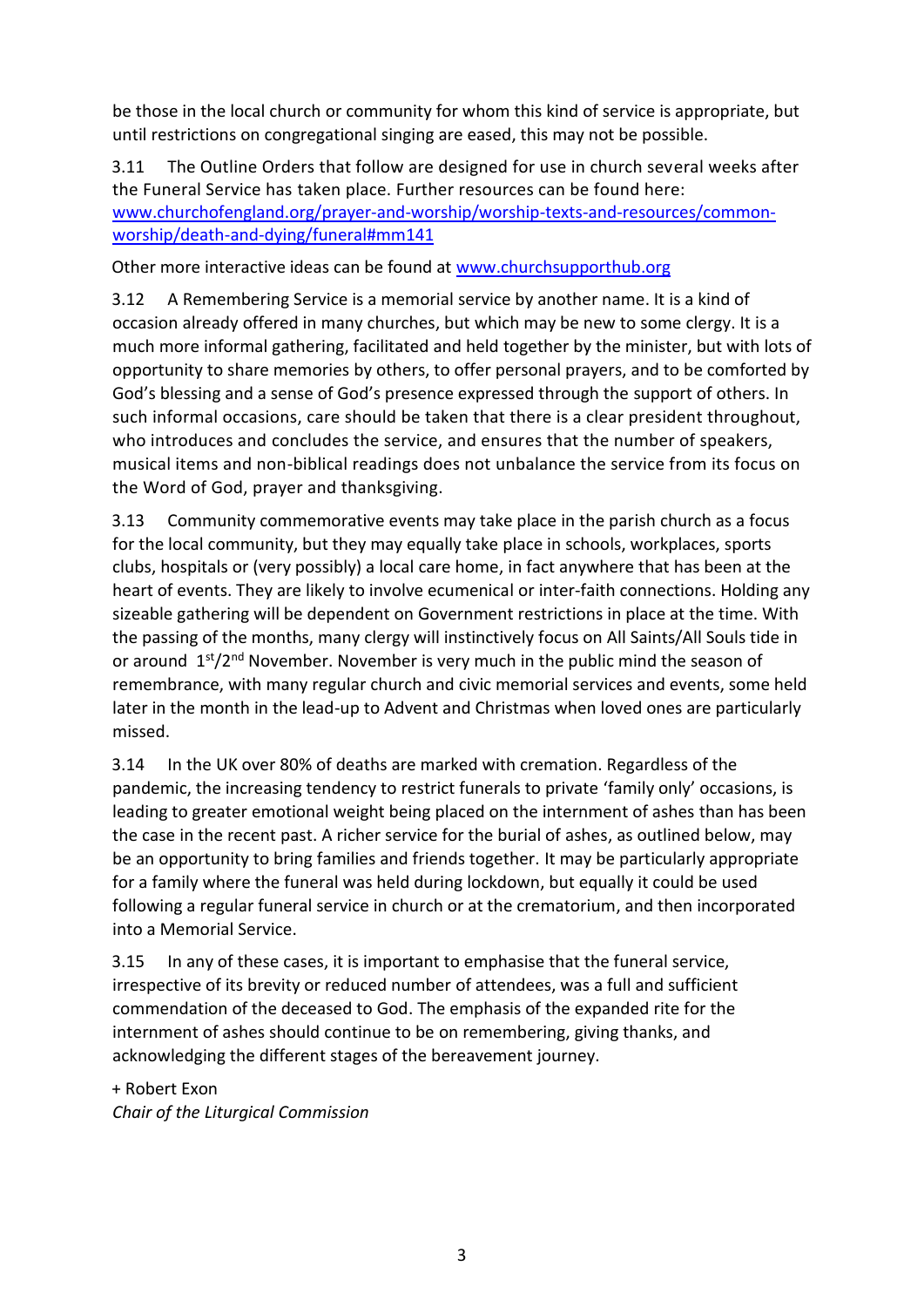be those in the local church or community for whom this kind of service is appropriate, but until restrictions on congregational singing are eased, this may not be possible.

3.11 The Outline Orders that follow are designed for use in church several weeks after the Funeral Service has taken place. Further resources can be found here: [www.churchofengland.org/prayer-and-worship/worship-texts-and-resources/common](https://www.churchofengland.org/prayer-and-worship/worship-texts-and-resources/common-worship/death-and-dying/funeral#mm141)[worship/death-and-dying/funeral#mm141](https://www.churchofengland.org/prayer-and-worship/worship-texts-and-resources/common-worship/death-and-dying/funeral#mm141)

Other more interactive ideas can be found at [www.churchsupporthub.org](http://www.churchsupporthub.org/)

3.12 A Remembering Service is a memorial service by another name. It is a kind of occasion already offered in many churches, but which may be new to some clergy. It is a much more informal gathering, facilitated and held together by the minister, but with lots of opportunity to share memories by others, to offer personal prayers, and to be comforted by God's blessing and a sense of God's presence expressed through the support of others. In such informal occasions, care should be taken that there is a clear president throughout, who introduces and concludes the service, and ensures that the number of speakers, musical items and non-biblical readings does not unbalance the service from its focus on the Word of God, prayer and thanksgiving.

3.13 Community commemorative events may take place in the parish church as a focus for the local community, but they may equally take place in schools, workplaces, sports clubs, hospitals or (very possibly) a local care home, in fact anywhere that has been at the heart of events. They are likely to involve ecumenical or inter-faith connections. Holding any sizeable gathering will be dependent on Government restrictions in place at the time. With the passing of the months, many clergy will instinctively focus on All Saints/All Souls tide in or around  $1<sup>st</sup>/2<sup>nd</sup>$  November. November is very much in the public mind the season of remembrance, with many regular church and civic memorial services and events, some held later in the month in the lead-up to Advent and Christmas when loved ones are particularly missed.

3.14 In the UK over 80% of deaths are marked with cremation. Regardless of the pandemic, the increasing tendency to restrict funerals to private 'family only' occasions, is leading to greater emotional weight being placed on the internment of ashes than has been the case in the recent past. A richer service for the burial of ashes, as outlined below, may be an opportunity to bring families and friends together. It may be particularly appropriate for a family where the funeral was held during lockdown, but equally it could be used following a regular funeral service in church or at the crematorium, and then incorporated into a Memorial Service.

3.15 In any of these cases, it is important to emphasise that the funeral service, irrespective of its brevity or reduced number of attendees, was a full and sufficient commendation of the deceased to God. The emphasis of the expanded rite for the internment of ashes should continue to be on remembering, giving thanks, and acknowledging the different stages of the bereavement journey.

+ Robert Exon *Chair of the Liturgical Commission*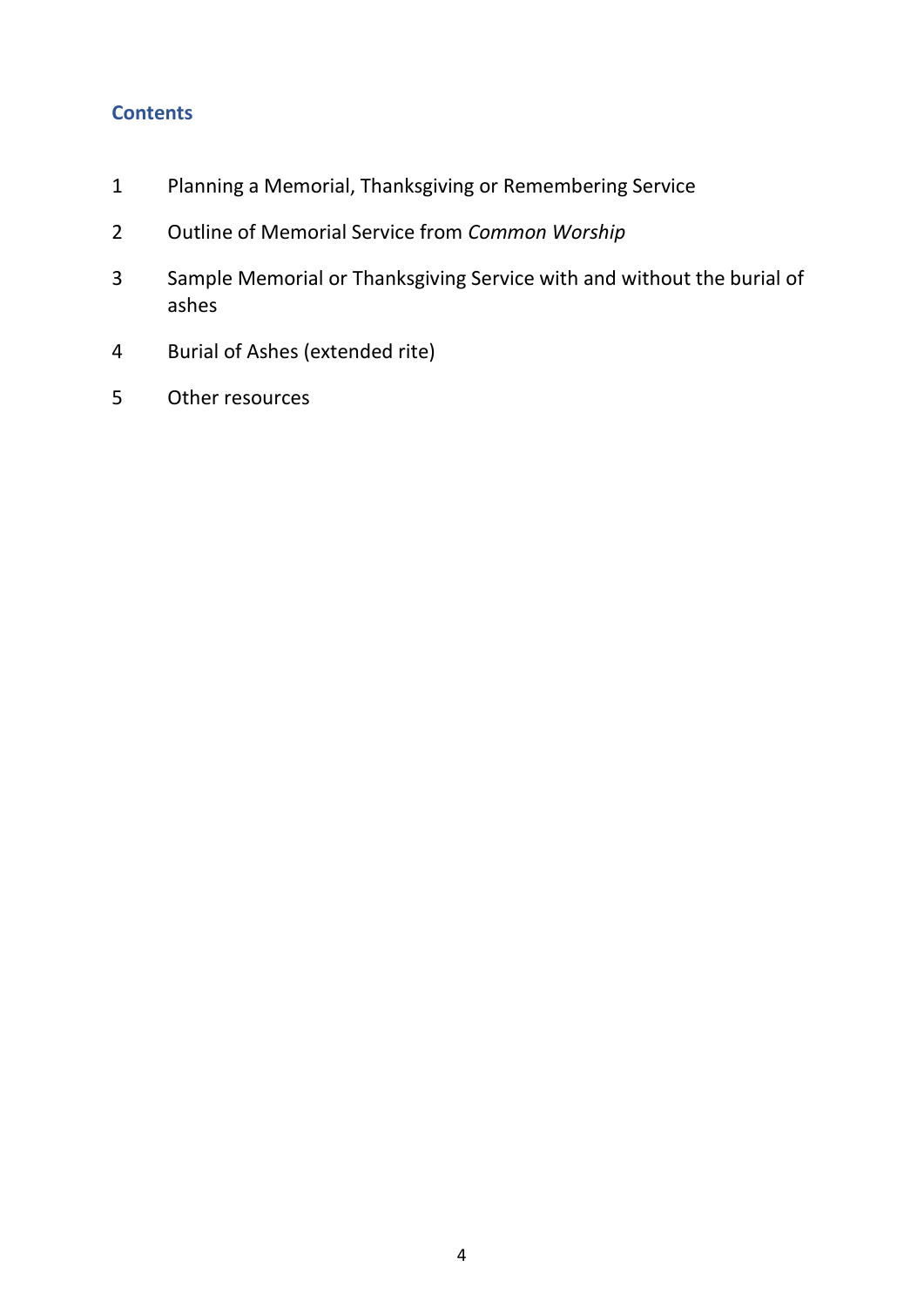# **Contents**

- Planning a Memorial, Thanksgiving or Remembering Service
- Outline of Memorial Service from *Common Worship*
- Sample Memorial or Thanksgiving Service with and without the burial of ashes
- Burial of Ashes (extended rite)
- Other resources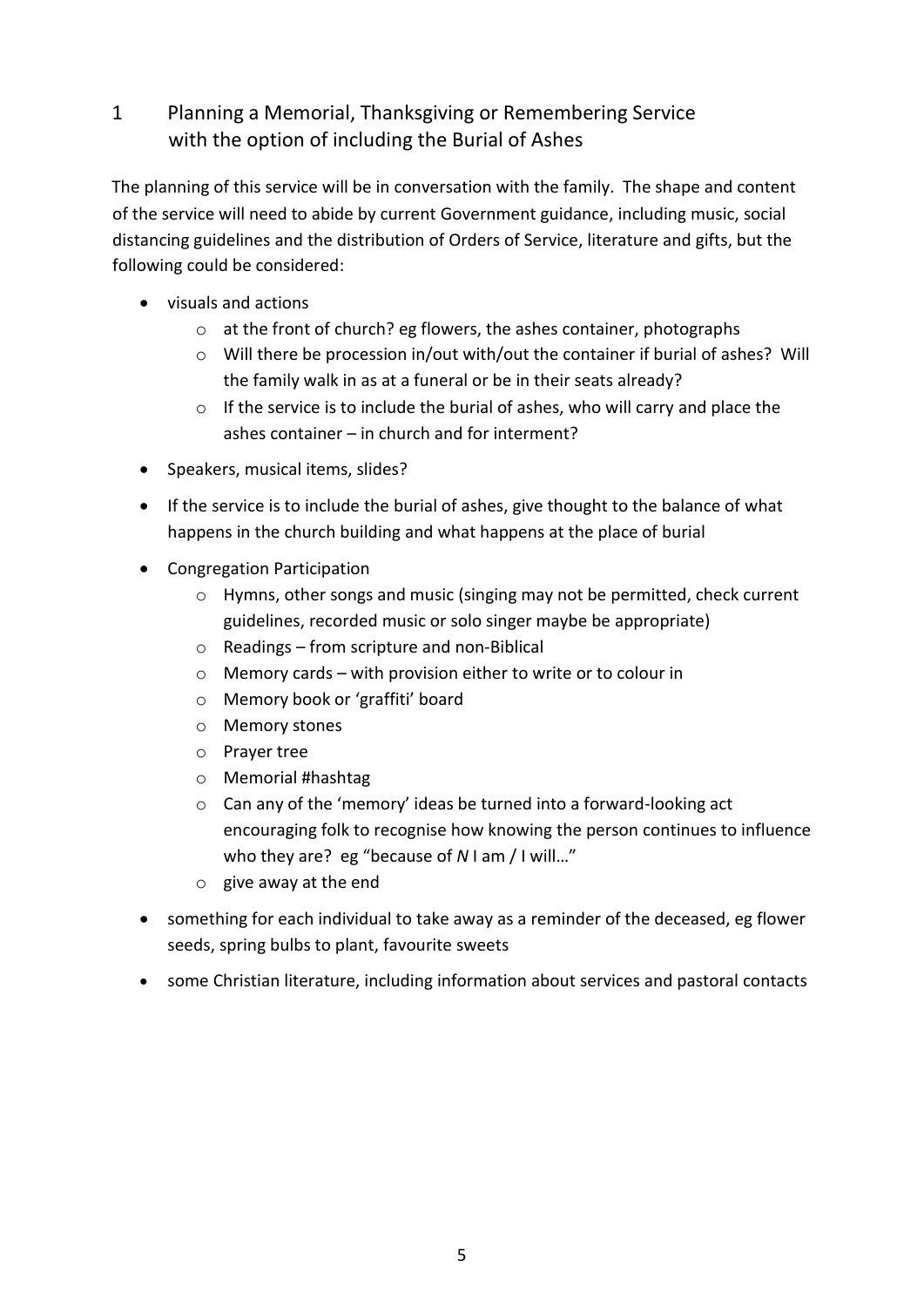# 1 Planning a Memorial, Thanksgiving or Remembering Service with the option of including the Burial of Ashes

The planning of this service will be in conversation with the family. The shape and content of the service will need to abide by current Government guidance, including music, social distancing guidelines and the distribution of Orders of Service, literature and gifts, but the following could be considered:

- visuals and actions
	- o at the front of church? eg flowers, the ashes container, photographs
	- o Will there be procession in/out with/out the container if burial of ashes? Will the family walk in as at a funeral or be in their seats already?
	- $\circ$  If the service is to include the burial of ashes, who will carry and place the ashes container – in church and for interment?
- Speakers, musical items, slides?
- If the service is to include the burial of ashes, give thought to the balance of what happens in the church building and what happens at the place of burial
- Congregation Participation
	- o Hymns, other songs and music (singing may not be permitted, check current guidelines, recorded music or solo singer maybe be appropriate)
	- o Readings from scripture and non-Biblical
	- $\circ$  Memory cards with provision either to write or to colour in
	- o Memory book or 'graffiti' board
	- o Memory stones
	- o Prayer tree
	- o Memorial #hashtag
	- o Can any of the 'memory' ideas be turned into a forward-looking act encouraging folk to recognise how knowing the person continues to influence who they are? eg "because of *N* I am / I will…"
	- $\circ$  give away at the end
- something for each individual to take away as a reminder of the deceased, eg flower seeds, spring bulbs to plant, favourite sweets
- some Christian literature, including information about services and pastoral contacts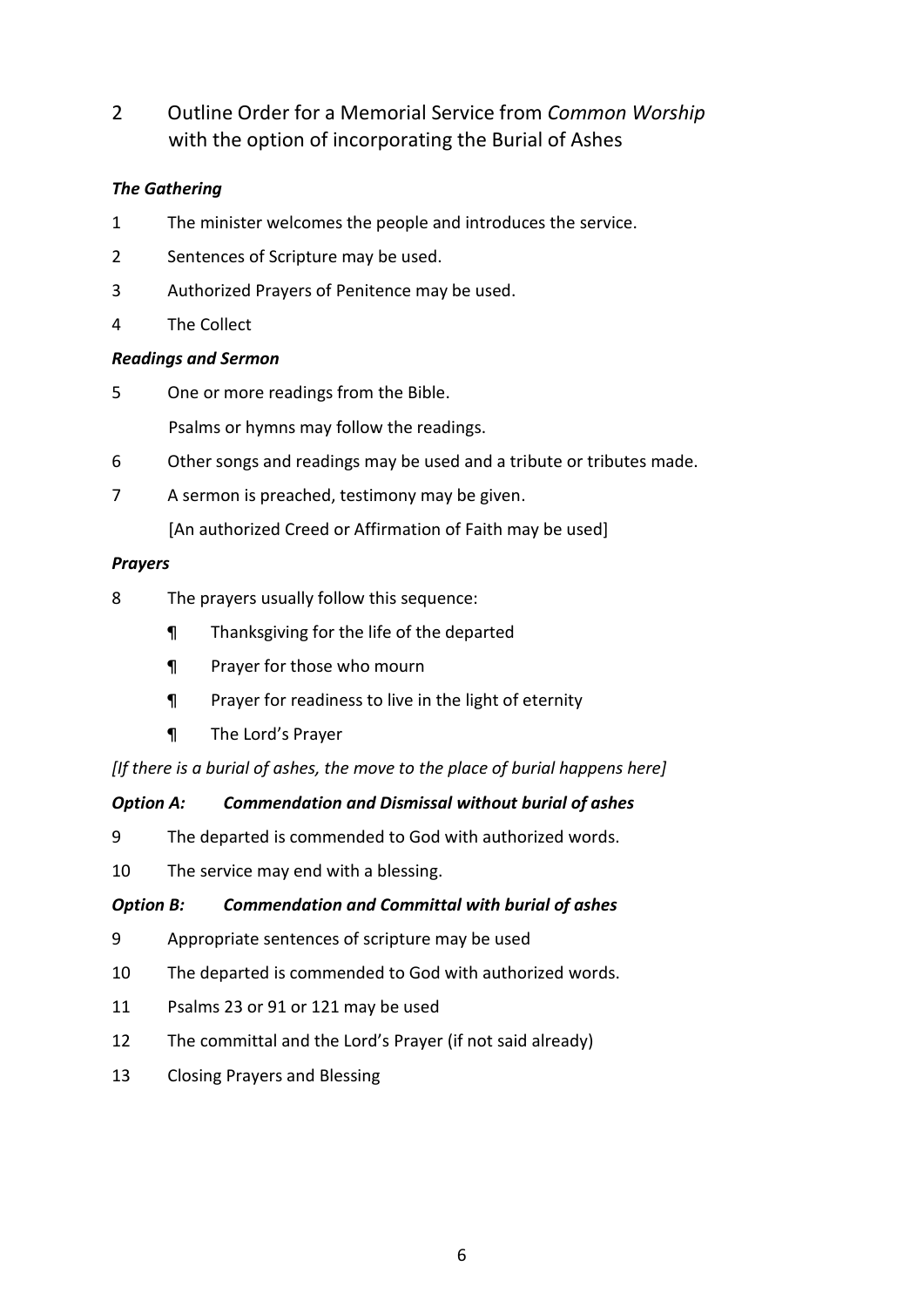2 Outline Order for a Memorial Service from *Common Worship* with the option of incorporating the Burial of Ashes

# *The Gathering*

- 1 The minister welcomes the people and introduces the service.
- 2 Sentences of Scripture may be used.
- 3 Authorized Prayers of Penitence may be used.
- 4 The Collect

# *Readings and Sermon*

- 5 One or more readings from the Bible. Psalms or hymns may follow the readings.
- 6 Other songs and readings may be used and a tribute or tributes made.
- 7 A sermon is preached, testimony may be given.

[An authorized Creed or Affirmation of Faith may be used]

# *Prayers*

- 8 The prayers usually follow this sequence:
	- ¶ Thanksgiving for the life of the departed
	- ¶ Prayer for those who mourn
	- ¶ Prayer for readiness to live in the light of eternity
	- ¶ The Lord's Prayer

*[If there is a burial of ashes, the move to the place of burial happens here]*

# *Option A: Commendation and Dismissal without burial of ashes*

- 9 The departed is commended to God with authorized words.
- 10 The service may end with a blessing.

# *Option B: Commendation and Committal with burial of ashes*

- 9 Appropriate sentences of scripture may be used
- 10 The departed is commended to God with authorized words.
- 11 Psalms 23 or 91 or 121 may be used
- 12 The committal and the Lord's Prayer (if not said already)
- 13 Closing Prayers and Blessing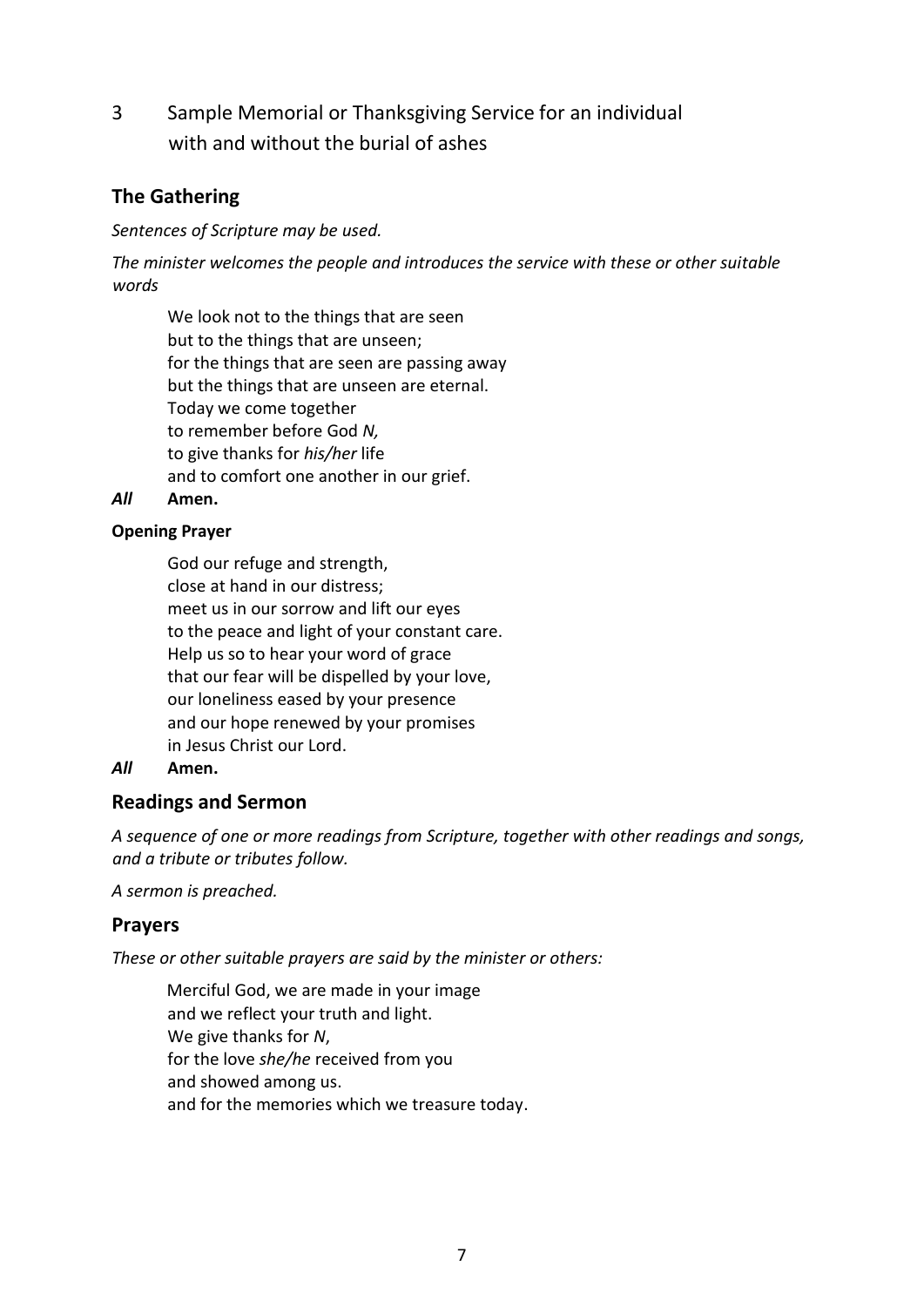3 Sample Memorial or Thanksgiving Service for an individual with and without the burial of ashes

# **The Gathering**

*Sentences of Scripture may be used.*

*The minister welcomes the people and introduces the service with these or other suitable words*

We look not to the things that are seen but to the things that are unseen; for the things that are seen are passing away but the things that are unseen are eternal. Today we come together to remember before God *N,* to give thanks for *his/her* life and to comfort one another in our grief.

*All* **Amen.**

# **Opening Prayer**

God our refuge and strength, close at hand in our distress; meet us in our sorrow and lift our eyes to the peace and light of your constant care. Help us so to hear your word of grace that our fear will be dispelled by your love, our loneliness eased by your presence and our hope renewed by your promises in Jesus Christ our Lord.

# *All* **Amen.**

# **Readings and Sermon**

*A sequence of one or more readings from Scripture, together with other readings and songs, and a tribute or tributes follow.*

*A sermon is preached.*

# **Prayers**

*These or other suitable prayers are said by the minister or others:*

Merciful God, we are made in your image and we reflect your truth and light. We give thanks for *N*, for the love *she/he* received from you and showed among us. and for the memories which we treasure today.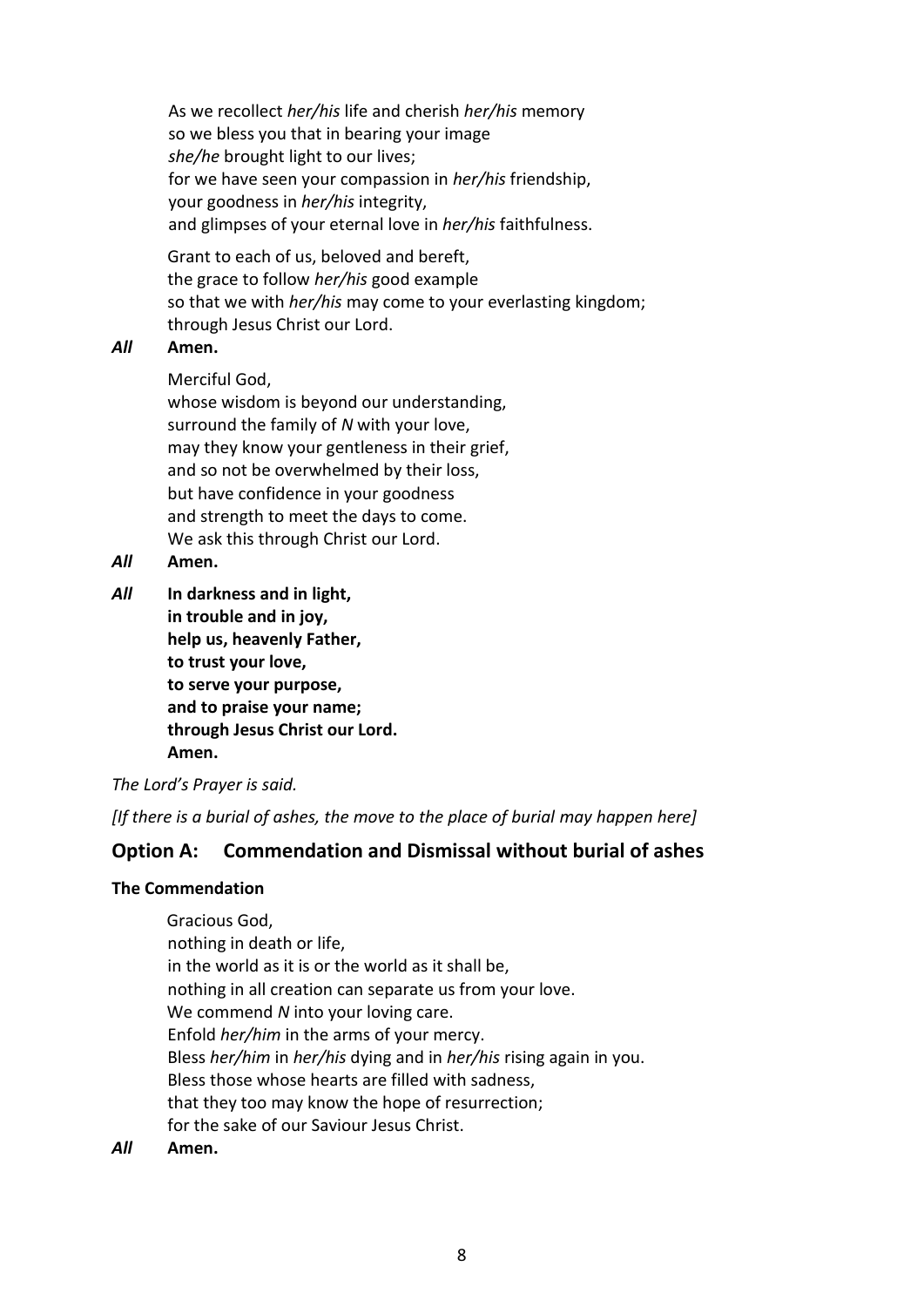As we recollect *her/his* life and cherish *her/his* memory so we bless you that in bearing your image *she/he* brought light to our lives; for we have seen your compassion in *her/his* friendship, your goodness in *her/his* integrity, and glimpses of your eternal love in *her/his* faithfulness.

Grant to each of us, beloved and bereft, the grace to follow *her/his* good example so that we with *her/his* may come to your everlasting kingdom; through Jesus Christ our Lord.

## *All* **Amen.**

Merciful God,

whose wisdom is beyond our understanding, surround the family of *N* with your love, may they know your gentleness in their grief, and so not be overwhelmed by their loss, but have confidence in your goodness and strength to meet the days to come. We ask this through Christ our Lord.

- *All* **Amen.**
- *All* **In darkness and in light, in trouble and in joy, help us, heavenly Father, to trust your love, to serve your purpose, and to praise your name; through Jesus Christ our Lord. Amen.**

*The Lord's Prayer is said.*

*[If there is a burial of ashes, the move to the place of burial may happen here]*

# **Option A: Commendation and Dismissal without burial of ashes**

### **The Commendation**

Gracious God, nothing in death or life, in the world as it is or the world as it shall be, nothing in all creation can separate us from your love. We commend *N* into your loving care. Enfold *her/him* in the arms of your mercy. Bless *her/him* in *her/his* dying and in *her/his* rising again in you. Bless those whose hearts are filled with sadness, that they too may know the hope of resurrection; for the sake of our Saviour Jesus Christ.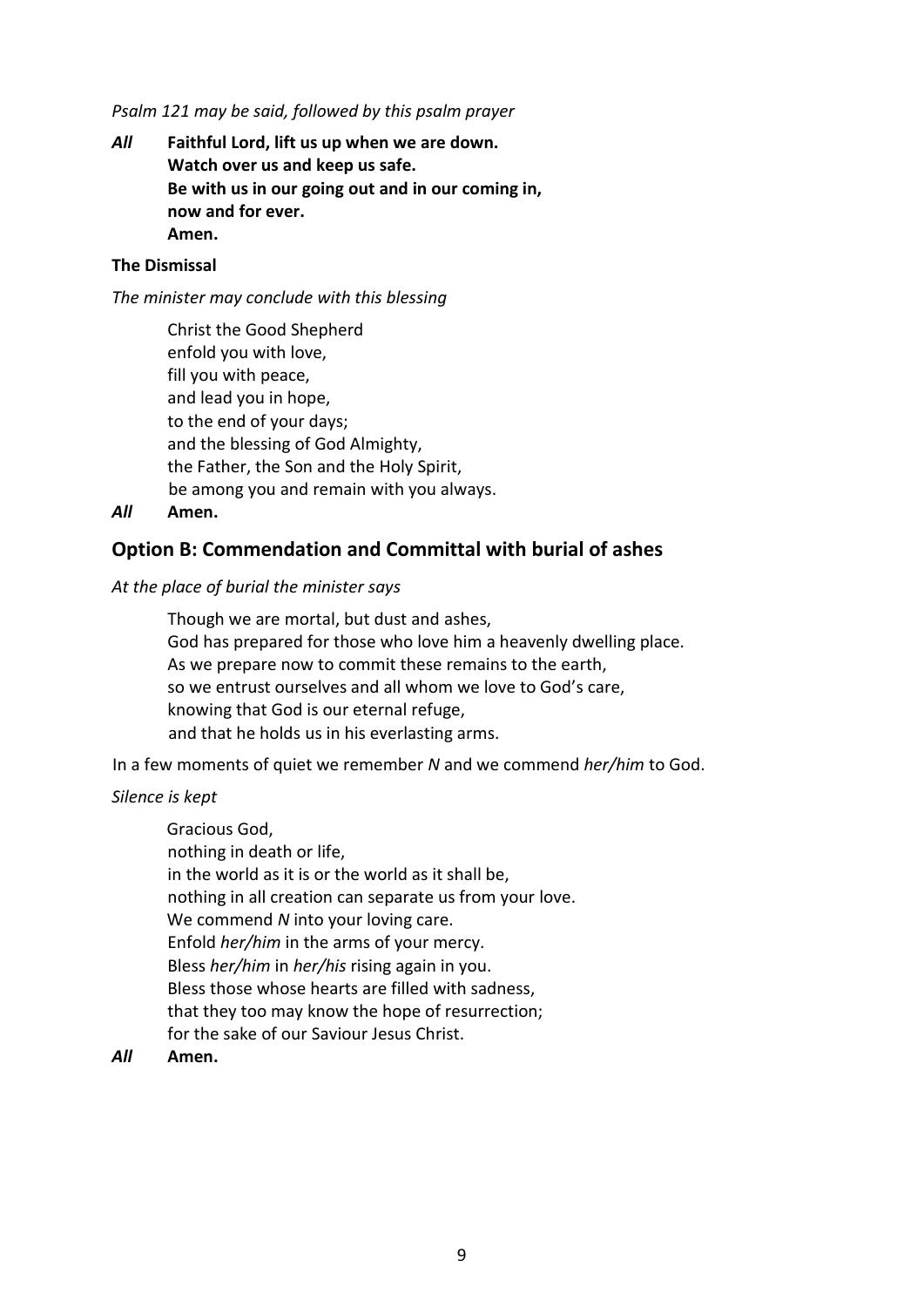*Psalm 121 may be said, followed by this psalm prayer*

*All* **Faithful Lord, lift us up when we are down. Watch over us and keep us safe. Be with us in our going out and in our coming in, now and for ever. Amen.**

#### **The Dismissal**

*The minister may conclude with this blessing*

Christ the Good Shepherd enfold you with love, fill you with peace, and lead you in hope, to the end of your days; and the blessing of God Almighty, the Father, the Son and the Holy Spirit, be among you and remain with you always.

*All* **Amen.**

## **Option B: Commendation and Committal with burial of ashes**

#### *At the place of burial the minister says*

Though we are mortal, but dust and ashes, God has prepared for those who love him a heavenly dwelling place. As we prepare now to commit these remains to the earth, so we entrust ourselves and all whom we love to God's care, knowing that God is our eternal refuge, and that he holds us in his everlasting arms.

In a few moments of quiet we remember *N* and we commend *her/him* to God.

#### *Silence is kept*

Gracious God, nothing in death or life, in the world as it is or the world as it shall be, nothing in all creation can separate us from your love. We commend *N* into your loving care. Enfold *her/him* in the arms of your mercy. Bless *her/him* in *her/his* rising again in you. Bless those whose hearts are filled with sadness, that they too may know the hope of resurrection; for the sake of our Saviour Jesus Christ.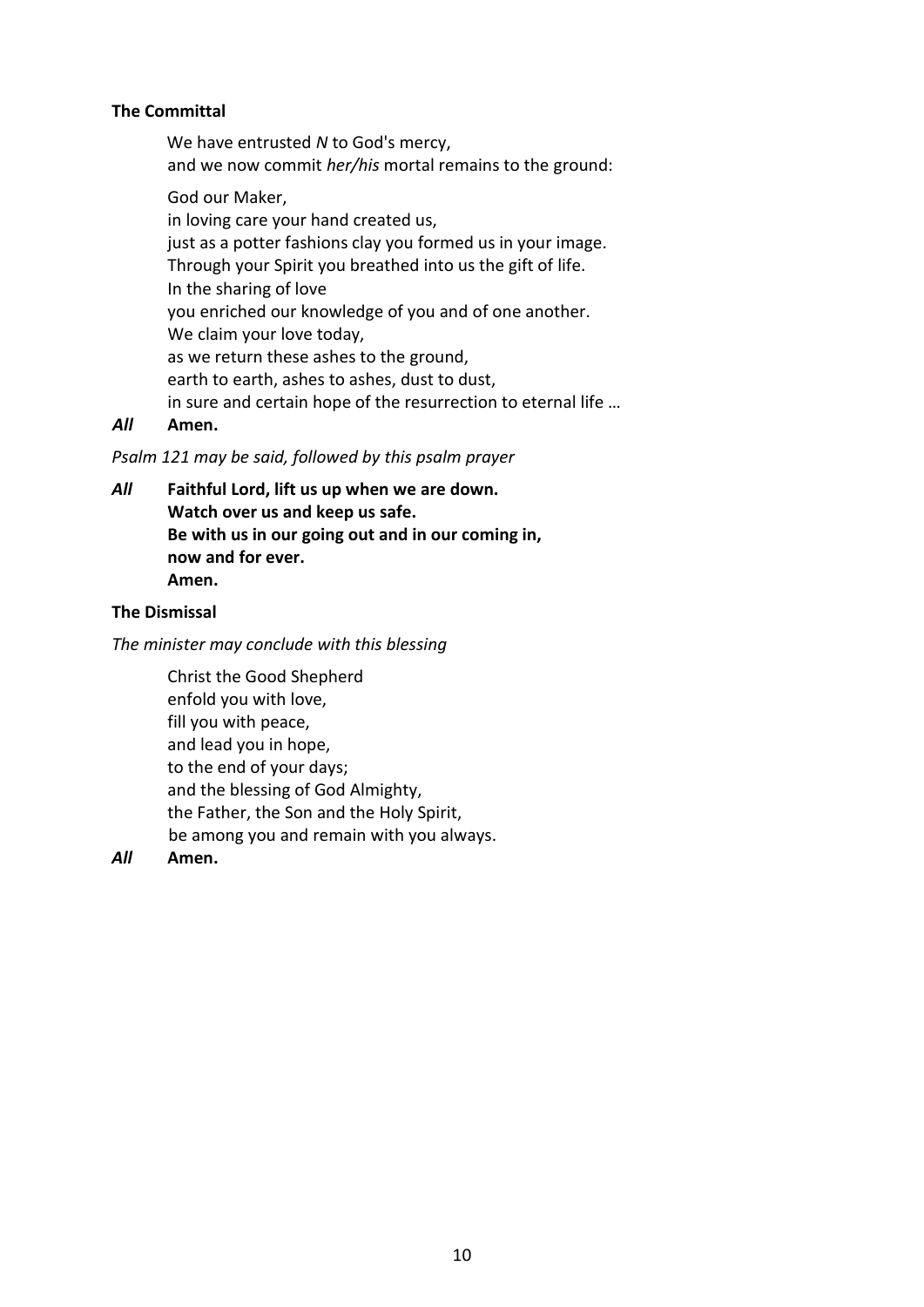### **The Committal**

We have entrusted *N* to God's mercy, and we now commit *her/his* mortal remains to the ground: God our Maker, in loving care your hand created us, just as a potter fashions clay you formed us in your image. Through your Spirit you breathed into us the gift of life. In the sharing of love

you enriched our knowledge of you and of one another. We claim your love today, as we return these ashes to the ground, earth to earth, ashes to ashes, dust to dust, in sure and certain hope of the resurrection to eternal life …

## *All* **Amen.**

#### *Psalm 121 may be said, followed by this psalm prayer*

*All* **Faithful Lord, lift us up when we are down. Watch over us and keep us safe. Be with us in our going out and in our coming in, now and for ever. Amen.**

### **The Dismissal**

#### *The minister may conclude with this blessing*

Christ the Good Shepherd enfold you with love, fill you with peace, and lead you in hope, to the end of your days; and the blessing of God Almighty, the Father, the Son and the Holy Spirit, be among you and remain with you always.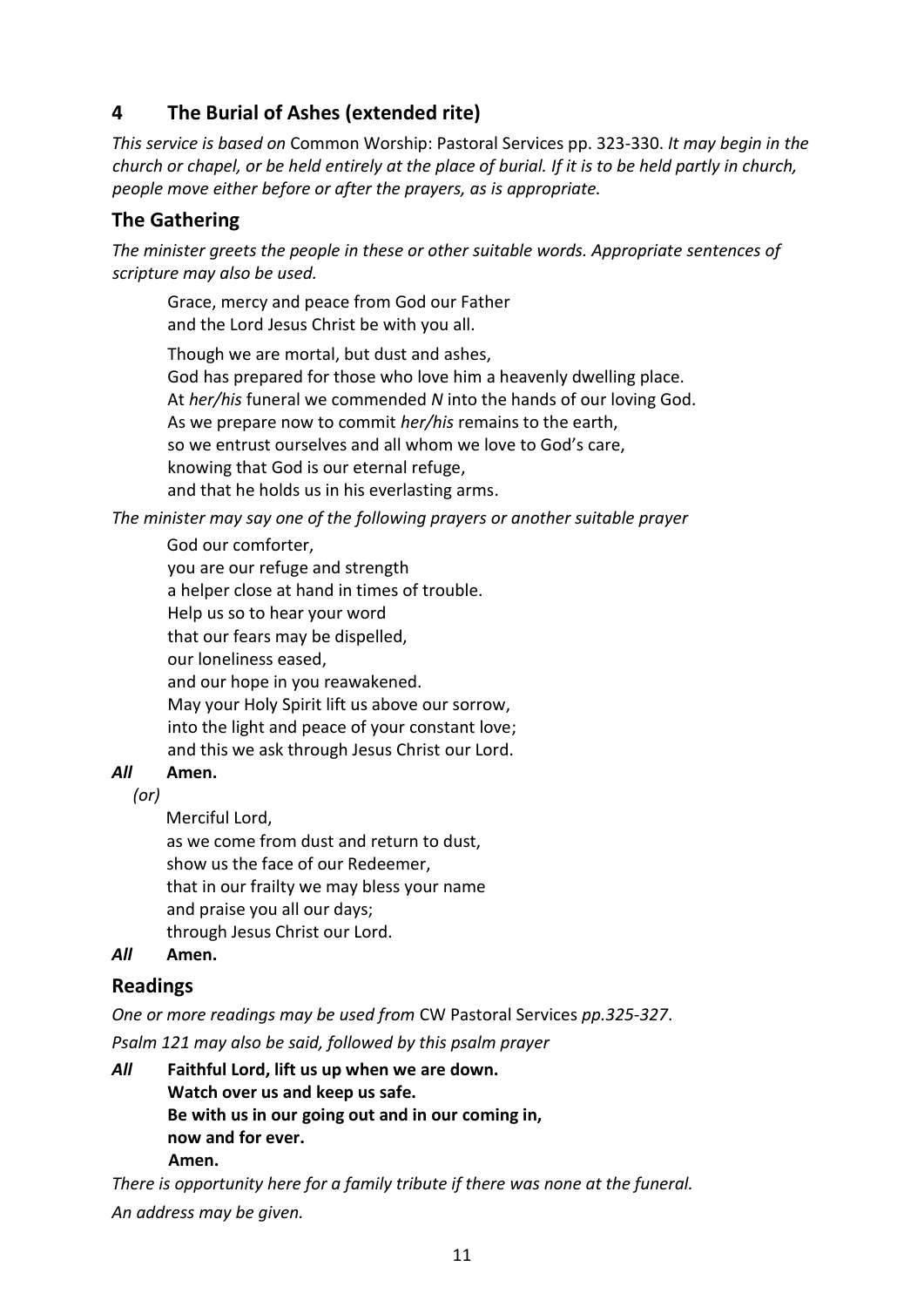# **4 The Burial of Ashes (extended rite)**

*This service is based on* Common Worship: Pastoral Services pp. 323-330. *It may begin in the church or chapel, or be held entirely at the place of burial. If it is to be held partly in church, people move either before or after the prayers, as is appropriate.*

# **The Gathering**

*The minister greets the people in these or other suitable words. Appropriate sentences of scripture may also be used.* 

Grace, mercy and peace from God our Father and the Lord Jesus Christ be with you all.

Though we are mortal, but dust and ashes, God has prepared for those who love him a heavenly dwelling place. At *her/his* funeral we commended *N* into the hands of our loving God. As we prepare now to commit *her/his* remains to the earth, so we entrust ourselves and all whom we love to God's care, knowing that God is our eternal refuge, and that he holds us in his everlasting arms.

*The minister may say one of the following prayers or another suitable prayer*

God our comforter, you are our refuge and strength a helper close at hand in times of trouble. Help us so to hear your word that our fears may be dispelled, our loneliness eased, and our hope in you reawakened. May your Holy Spirit lift us above our sorrow, into the light and peace of your constant love; and this we ask through Jesus Christ our Lord.

# *All* **Amen.**

 *(or)*

Merciful Lord,

as we come from dust and return to dust, show us the face of our Redeemer, that in our frailty we may bless your name and praise you all our days; through Jesus Christ our Lord.

# *All* **Amen.**

# **Readings**

*One or more readings may be used from* CW Pastoral Services *pp.325-327*.

*Psalm 121 may also be said, followed by this psalm prayer*

*All* **Faithful Lord, lift us up when we are down. Watch over us and keep us safe. Be with us in our going out and in our coming in, now and for ever. Amen.**

*There is opportunity here for a family tribute if there was none at the funeral. An address may be given.*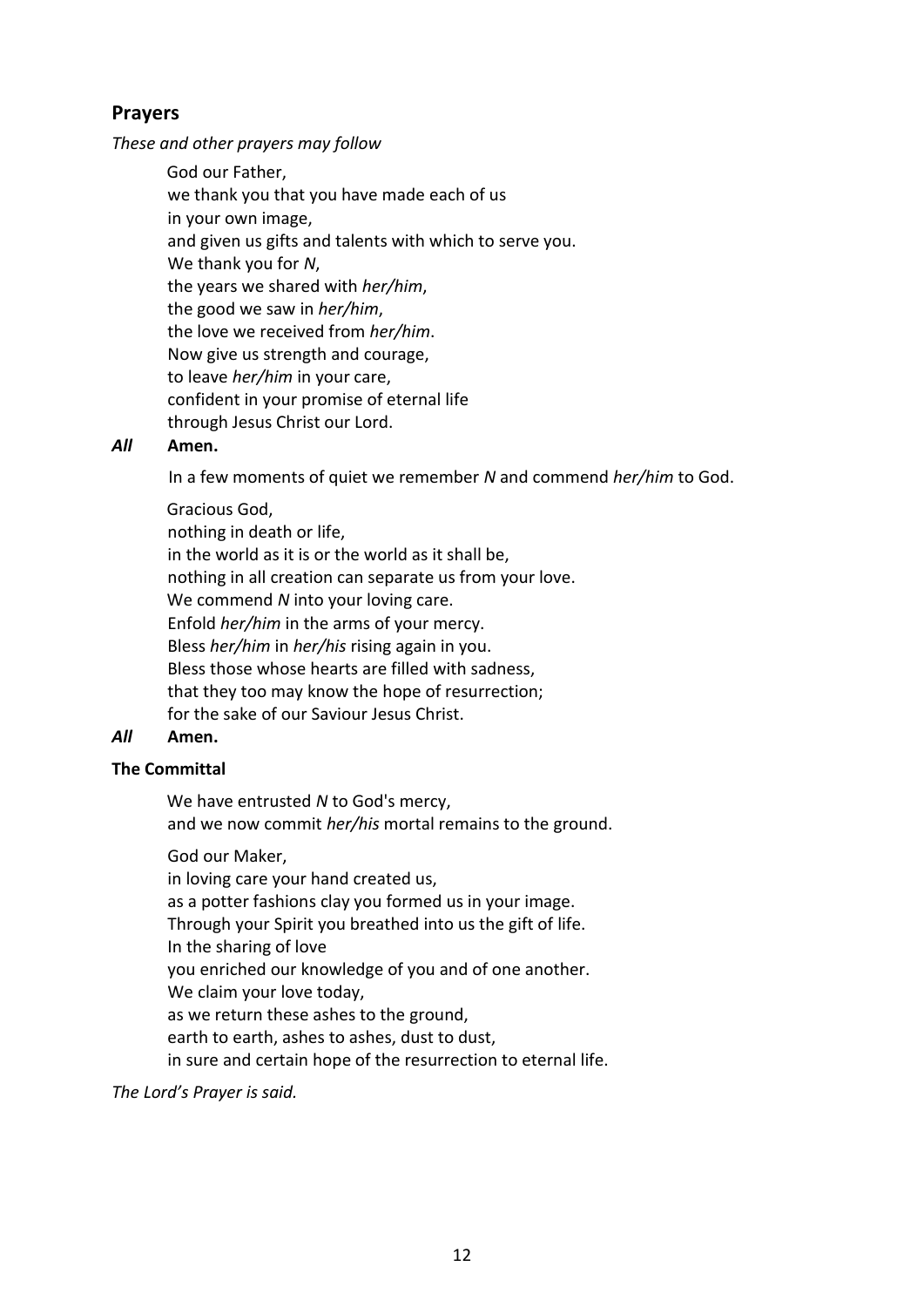# **Prayers**

*These and other prayers may follow*

God our Father, we thank you that you have made each of us in your own image, and given us gifts and talents with which to serve you. We thank you for *N*, the years we shared with *her/him*, the good we saw in *her/him*, the love we received from *her/him*. Now give us strength and courage, to leave *her/him* in your care, confident in your promise of eternal life through Jesus Christ our Lord.

## *All* **Amen.**

In a few moments of quiet we remember *N* and commend *her/him* to God.

Gracious God, nothing in death or life, in the world as it is or the world as it shall be, nothing in all creation can separate us from your love. We commend *N* into your loving care. Enfold *her/him* in the arms of your mercy. Bless *her/him* in *her/his* rising again in you. Bless those whose hearts are filled with sadness, that they too may know the hope of resurrection; for the sake of our Saviour Jesus Christ.

### *All* **Amen.**

### **The Committal**

We have entrusted *N* to God's mercy, and we now commit *her/his* mortal remains to the ground.

God our Maker,

in loving care your hand created us, as a potter fashions clay you formed us in your image. Through your Spirit you breathed into us the gift of life. In the sharing of love you enriched our knowledge of you and of one another. We claim your love today, as we return these ashes to the ground, earth to earth, ashes to ashes, dust to dust, in sure and certain hope of the resurrection to eternal life.

*The Lord's Prayer is said.*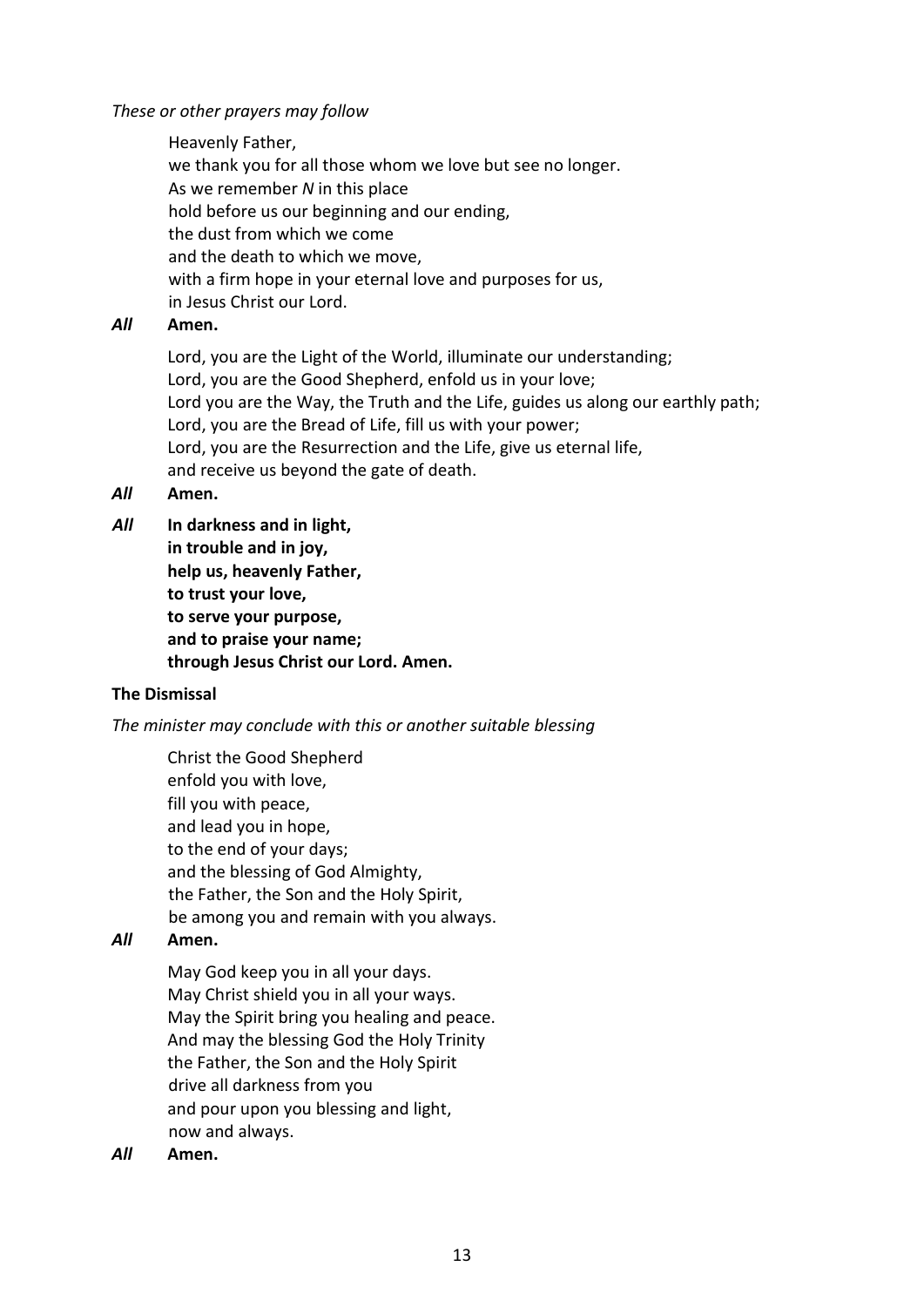### *These or other prayers may follow*

Heavenly Father, we thank you for all those whom we love but see no longer. As we remember *N* in this place hold before us our beginning and our ending, the dust from which we come and the death to which we move, with a firm hope in your eternal love and purposes for us, in Jesus Christ our Lord.

### *All* **Amen.**

Lord, you are the Light of the World, illuminate our understanding; Lord, you are the Good Shepherd, enfold us in your love; Lord you are the Way, the Truth and the Life, guides us along our earthly path; Lord, you are the Bread of Life, fill us with your power; Lord, you are the Resurrection and the Life, give us eternal life, and receive us beyond the gate of death.

*All* **Amen.** 

*All* **In darkness and in light, in trouble and in joy, help us, heavenly Father, to trust your love, to serve your purpose, and to praise your name; through Jesus Christ our Lord. Amen.**

### **The Dismissal**

*The minister may conclude with this or another suitable blessing*

Christ the Good Shepherd enfold you with love, fill you with peace, and lead you in hope, to the end of your days; and the blessing of God Almighty, the Father, the Son and the Holy Spirit, be among you and remain with you always.

## *All* **Amen.**

May God keep you in all your days. May Christ shield you in all your ways. May the Spirit bring you healing and peace. And may the blessing God the Holy Trinity the Father, the Son and the Holy Spirit drive all darkness from you and pour upon you blessing and light, now and always.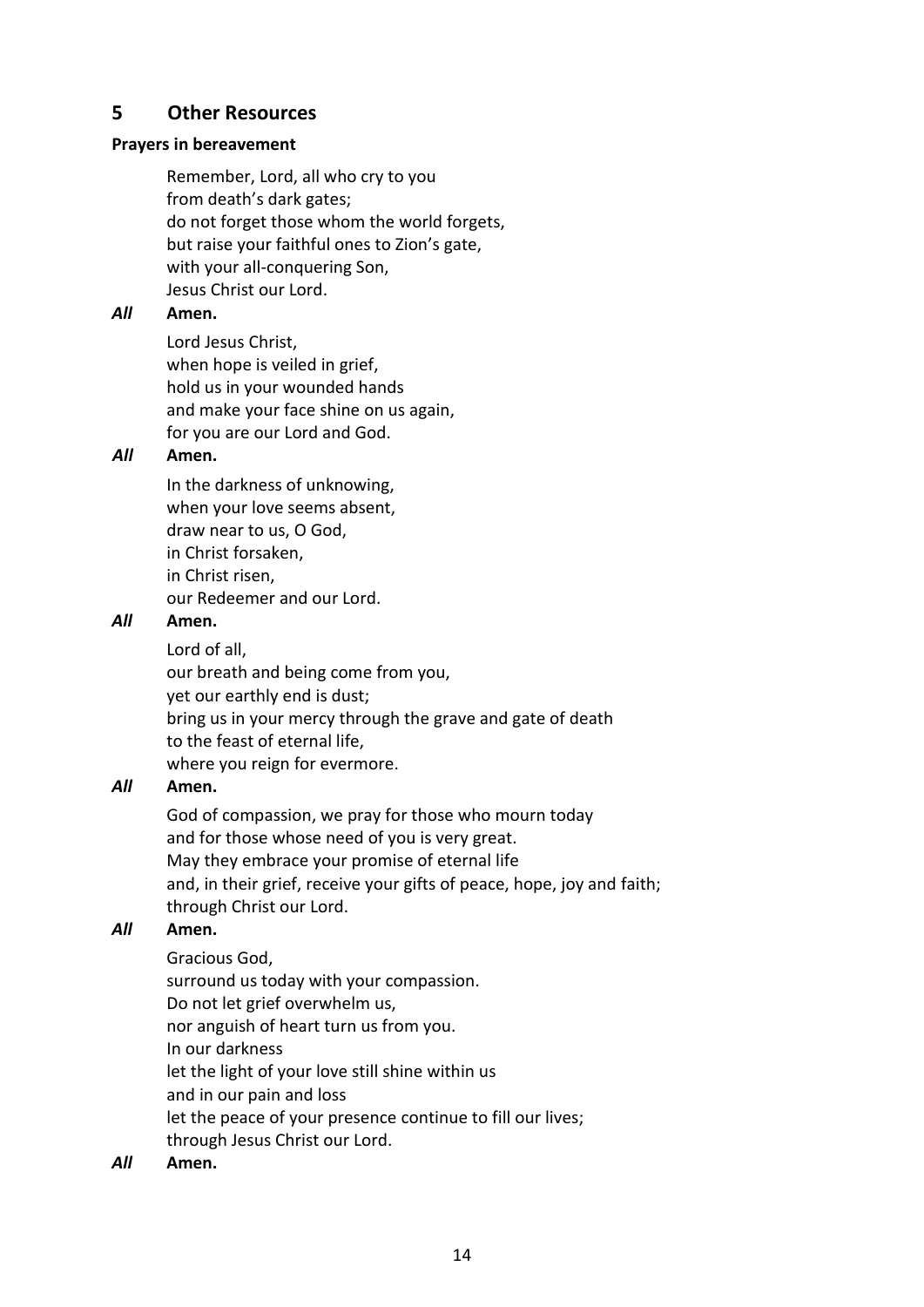# **5 Other Resources**

# **Prayers in bereavement**

Remember, Lord, all who cry to you from death's dark gates; do not forget those whom the world forgets, but raise your faithful ones to Zion's gate, with your all-conquering Son, Jesus Christ our Lord.

# *All* **Amen.**

Lord Jesus Christ, when hope is veiled in grief, hold us in your wounded hands and make your face shine on us again, for you are our Lord and God.

# *All* **Amen.**

In the darkness of unknowing, when your love seems absent, draw near to us, O God, in Christ forsaken, in Christ risen, our Redeemer and our Lord.

## *All* **Amen.**

Lord of all, our breath and being come from you, yet our earthly end is dust; bring us in your mercy through the grave and gate of death to the feast of eternal life, where you reign for evermore.

# *All* **Amen.**

God of compassion, we pray for those who mourn today and for those whose need of you is very great. May they embrace your promise of eternal life and, in their grief, receive your gifts of peace, hope, joy and faith; through Christ our Lord.

# *All* **Amen.**

Gracious God, surround us today with your compassion. Do not let grief overwhelm us, nor anguish of heart turn us from you. In our darkness let the light of your love still shine within us and in our pain and loss let the peace of your presence continue to fill our lives; through Jesus Christ our Lord.